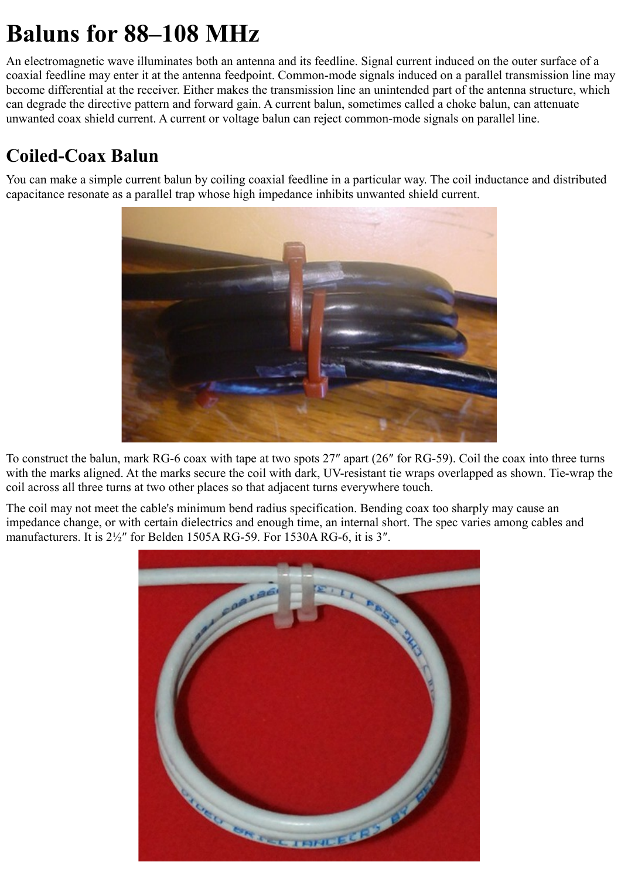# **Baluns for 88–108 MHz**

An electromagnetic wave illuminates both an antenna and its feedline. Signal current induced on the outer surface of a coaxial feedline may enter it at the antenna feedpoint. Common-mode signals induced on a parallel transmission line may become differential at the receiver. Either makes the transmission line an unintended part of the antenna structure, which can degrade the directive pattern and forward gain. A current balun, sometimes called a choke balun, can attenuate unwanted coax shield current. A current or voltage balun can reject common-mode signals on parallel line.

## **Coiled-Coax Balun**

You can make a simple current balun by coiling coaxial feedline in a particular way. The coil inductance and distributed capacitance resonate as a parallel trap whose high impedance inhibits unwanted shield current.



To construct the balun, mark RG-6 coax with tape at two spots 27″ apart (26″ for RG-59). Coil the coax into three turns with the marks aligned. At the marks secure the coil with dark, UV-resistant tie wraps overlapped as shown. Tie-wrap the coil across all three turns at two other places so that adjacent turns everywhere touch.

The coil may not meet the cable's minimum bend radius specification. Bending coax too sharply may cause an impedance change, or with certain dielectrics and enough time, an internal short. The spec varies among cables and manufacturers. It is 2½″ for Belden 1505A RG-59. For 1530A RG-6, it is 3″.

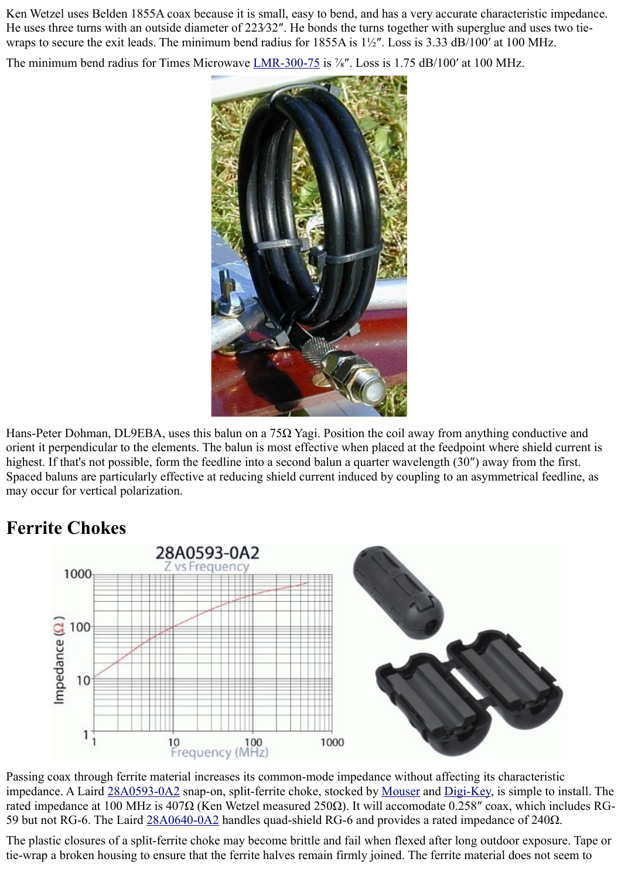Ken Wetzel uses Belden 1855A coax because it is small, easy to bend, and has a very accurate characteristic impedance. He uses three turns with an outside diameter of 223⁄32". He bonds the turns together with superglue and uses two tiewraps to secure the exit leads. The minimum bend radius for 1855A is 1½". Loss is 3.33 dB/100' at 100 MHz.

The minimum bend radius for Times Microwave [LMR-300-75](http://www.timesmicrowave.com/content/pdf/lmr/104-105.pdf) is <sup>7</sup>/<sub>8</sub>". Loss is 1.75 dB/100' at 100 MHz.



Hans-Peter Dohman, DL9EBA, uses this balun on a 75Ω Yagi. Position the coil away from anything conductive and orient it perpendicular to the elements. The balun is most effective when placed at the feedpoint where shield current is highest. If that's not possible, form the feedline into a second balun a quarter wavelength (30″) away from the first. Spaced baluns are particularly effective at reducing shield current induced by coupling to an asymmetrical feedline, as may occur for vertical polarization.



## **Ferrite Chokes**

Passing coax through ferrite material increases its common-mode impedance without affecting its characteristic impedance. A Laird [28A0593-0A2](http://lairdtech.thomasnet.com/item/all-categories/dband-split-snap-on-ferrite-cores-for-round-cables/pn-6011) snap-on, split-ferrite choke, stocked by [Mouser](http://www.mouser.com/ProductDetail/Laird-Technologies/28A0593-0A2/?qs=p6trItWzfMUNe9A2sDEgaQ%3D%3D) and [Digi-Key,](http://search.digikey.com/scripts/DkSearch/dksus.dll?Detail&name=240-2246-ND) is simple to install. The rated impedance at 100 MHz is 407Ω (Ken Wetzel measured 250Ω). It will accomodate 0.258″ coax, which includes RG-59 but not RG-6. The Laird [28A0640-0A2](http://lairdtech.thomasnet.com/item/round-and-cylindrical-cores/dband-split-snap-on-ferrite-cores-for-round-cables/pn-6013) handles quad-shield RG-6 and provides a rated impedance of 240Ω.

The plastic closures of a split-ferrite choke may become brittle and fail when flexed after long outdoor exposure. Tape or tie-wrap a broken housing to ensure that the ferrite halves remain firmly joined. The ferrite material does not seem to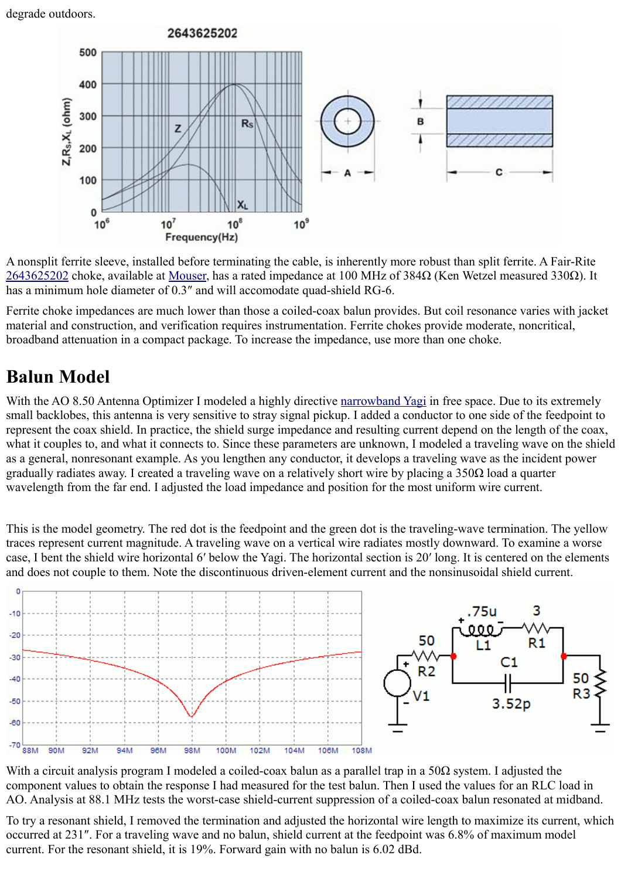degrade outdoors.



A nonsplit ferrite sleeve, installed before terminating the cable, is inherently more robust than split ferrite. A Fair-Rite [2643625202](http://www.fair-rite.com/cgibin/catalog.pgm?THEONEPART=2643625202) choke, available at [Mouser,](http://www.mouser.com/ProductDetail/Fair-Rite/2643625202/?qs=MLldULe7zY2slPI7xZO9Pw%3D%3D) has a rated impedance at 100 MHz of 384Ω (Ken Wetzel measured 330Ω). It has a minimum hole diameter of 0.3″ and will accomodate quad-shield RG-6.

Ferrite choke impedances are much lower than those a coiled-coax balun provides. But coil resonance varies with jacket material and construction, and verification requires instrumentation. Ferrite chokes provide moderate, noncritical, broadband attenuation in a compact package. To increase the impedance, use more than one choke.

## **Balun Model**

With the AO 8.50 Antenna Optimizer I modeled a highly directive [narrowband Yagi](http://ham-radio.com/k6sti/maxpat.htm) in free space. Due to its extremely small backlobes, this antenna is very sensitive to stray signal pickup. I added a conductor to one side of the feedpoint to represent the coax shield. In practice, the shield surge impedance and resulting current depend on the length of the coax, what it couples to, and what it connects to. Since these parameters are unknown, I modeled a traveling wave on the shield as a general, nonresonant example. As you lengthen any conductor, it develops a traveling wave as the incident power gradually radiates away. I created a traveling wave on a relatively short wire by placing a  $350\Omega$  load a quarter wavelength from the far end. I adjusted the load impedance and position for the most uniform wire current.

This is the model geometry. The red dot is the feedpoint and the green dot is the traveling-wave termination. The yellow traces represent current magnitude. A traveling wave on a vertical wire radiates mostly downward. To examine a worse case, I bent the shield wire horizontal 6′ below the Yagi. The horizontal section is 20′ long. It is centered on the elements and does not couple to them. Note the discontinuous driven-element current and the nonsinusoidal shield current.



With a circuit analysis program I modeled a coiled-coax balun as a parallel trap in a 50 $\Omega$  system. I adjusted the component values to obtain the response I had measured for the test balun. Then I used the values for an RLC load in AO. Analysis at 88.1 MHz tests the worst-case shield-current suppression of a coiled-coax balun resonated at midband.

To try a resonant shield, I removed the termination and adjusted the horizontal wire length to maximize its current, which occurred at 231″. For a traveling wave and no balun, shield current at the feedpoint was 6.8% of maximum model current. For the resonant shield, it is 19%. Forward gain with no balun is 6.02 dBd.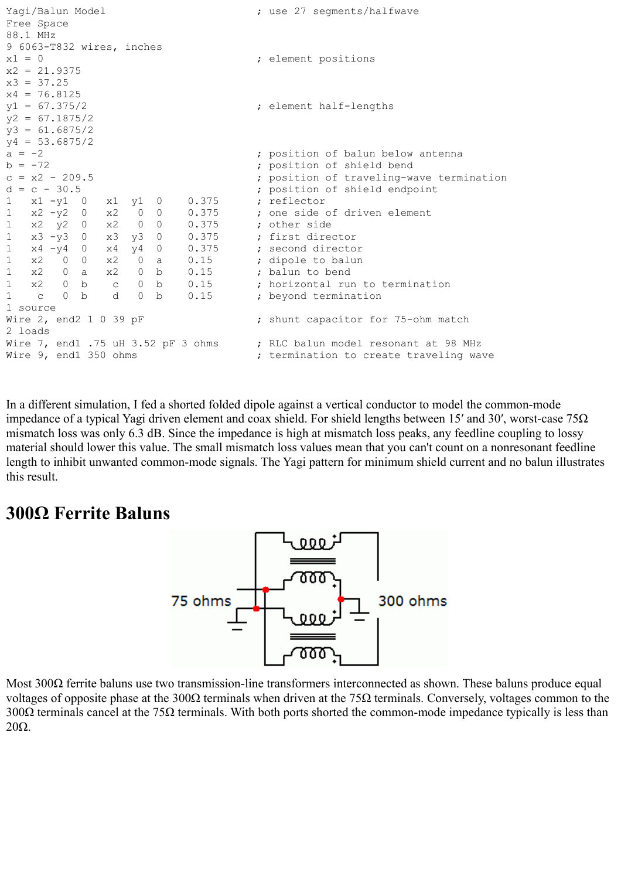```
Yagi/Balun Model ; use 27 segments/halfwave
Free Space
88.1 MHz
9 6063-T832 wires, inches
x1 = 0 ; element positions
x2 = 21.9375x3 = 37.25x4 = 76.8125<br>y1 = 67.375/2; element half-lengths
y2 = 67.1875/2y3 = 61.6875/2y4 = 53.6875/2a = -2 ; position of balun below antenna
b = -72 ; position of shield bend
c = x2 - 209.5 ; position of traveling-wave termination
d = c - 30.5 ; position of shield endpoint
1 x1 -y1 0 x1 y1 0 0.375 ; reflector
1 x2 -y2 0 x2 0 0 0.375 ; one side of driven element
1 x2 y2 0 x2 0 0 0.375 ; other side
1 x3 -y3 0 x3 y3 0 0.375 ; first director
1 x4 -y4 0 x4 y4 0 0.375 ; second director
1 x2 0 0 x2 0 a 0.15 ; dipole to balun<br>1 x2 0 a x2 0 b 0.15 ; balun to bend
1 x2 0 a x2 0 b 0.15 ; balun to bend
1 x2 0 b c 0 b 0.15 ; horizontal run to termination
1 c 0 b d 0 b 0.15 ; beyond termination
1 source
Wire 2, end2 1 0 39 pF ; shunt capacitor for 75-ohm match
2 loads
Wire 7, end1 .75 uH 3.52 pF 3 ohms ; RLC balun model resonant at 98 MHz
Wire 9, end1 350 ohms \qquad \qquad ; termination to create traveling wave
```
In a different simulation, I fed a shorted folded dipole against a vertical conductor to model the common-mode impedance of a typical Yagi driven element and coax shield. For shield lengths between 15′ and 30′, worst-case 75 $\Omega$ mismatch loss was only 6.3 dB. Since the impedance is high at mismatch loss peaks, any feedline coupling to lossy material should lower this value. The small mismatch loss values mean that you can't count on a nonresonant feedline length to inhibit unwanted common-mode signals. The Yagi pattern for minimum shield current and no balun illustrates this result.

#### **300Ω Ferrite Baluns**



Most 300Ω ferrite baluns use two transmission-line transformers interconnected as shown. These baluns produce equal voltages of opposite phase at the 300Ω terminals when driven at the 75Ω terminals. Conversely, voltages common to the 300 $\Omega$  terminals cancel at the 75 $\Omega$  terminals. With both ports shorted the common-mode impedance typically is less than 20Ω.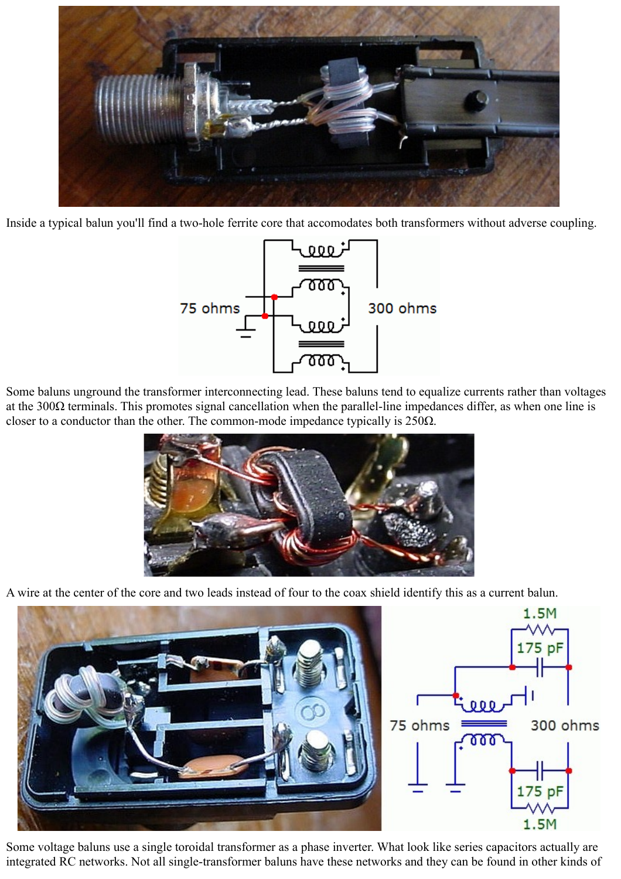

Inside a typical balun you'll find a two-hole ferrite core that accomodates both transformers without adverse coupling.



Some baluns unground the transformer interconnecting lead. These baluns tend to equalize currents rather than voltages at the  $300\Omega$  terminals. This promotes signal cancellation when the parallel-line impedances differ, as when one line is closer to a conductor than the other. The common-mode impedance typically is  $250\Omega$ .



A wire at the center of the core and two leads instead of four to the coax shield identify this as a current balun.



Some voltage baluns use a single toroidal transformer as a phase inverter. What look like series capacitors actually are integrated RC networks. Not all single-transformer baluns have these networks and they can be found in other kinds of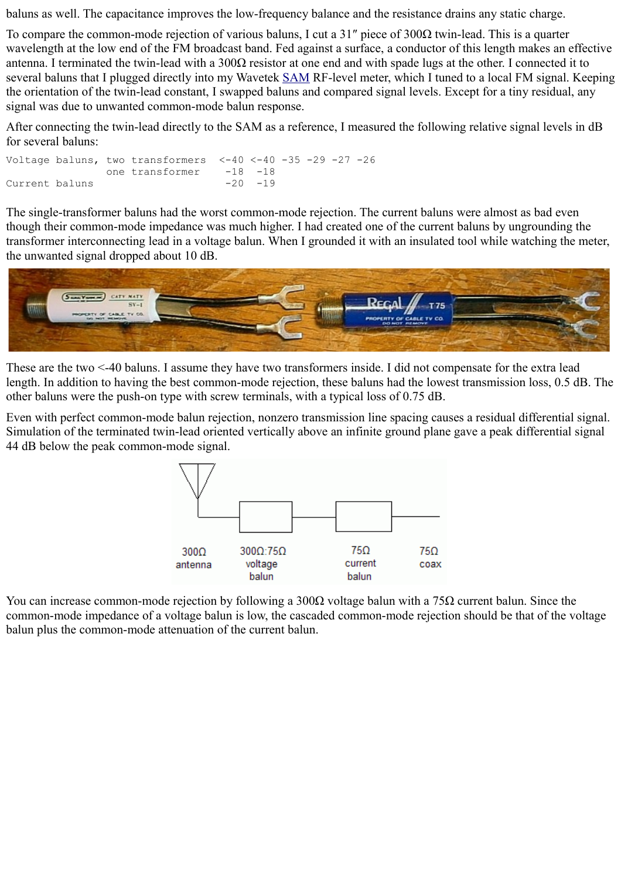baluns as well. The capacitance improves the low-frequency balance and the resistance drains any static charge.

To compare the common-mode rejection of various baluns, I cut a 31″ piece of 300Ω twin-lead. This is a quarter wavelength at the low end of the FM broadcast band. Fed against a surface, a conductor of this length makes an effective antenna. I terminated the twin-lead with a 300Ω resistor at one end and with spade lugs at the other. I connected it to several baluns that I plugged directly into my Wavetek [SAM](http://ham-radio.com/k6sti/sam.htm) RF-level meter, which I tuned to a local FM signal. Keeping the orientation of the twin-lead constant, I swapped baluns and compared signal levels. Except for a tiny residual, any signal was due to unwanted common-mode balun response.

After connecting the twin-lead directly to the SAM as a reference, I measured the following relative signal levels in dB for several baluns:

Voltage baluns, two transformers  $<-40$   $<-40$   $-35$   $-29$   $-27$   $-26$ one transformer -18 -18 Current baluns -20 -19

The single-transformer baluns had the worst common-mode rejection. The current baluns were almost as bad even though their common-mode impedance was much higher. I had created one of the current baluns by ungrounding the transformer interconnecting lead in a voltage balun. When I grounded it with an insulated tool while watching the meter, the unwanted signal dropped about 10 dB.



These are the two <-40 baluns. I assume they have two transformers inside. I did not compensate for the extra lead length. In addition to having the best common-mode rejection, these baluns had the lowest transmission loss, 0.5 dB. The other baluns were the push-on type with screw terminals, with a typical loss of 0.75 dB.

Even with perfect common-mode balun rejection, nonzero transmission line spacing causes a residual differential signal. Simulation of the terminated twin-lead oriented vertically above an infinite ground plane gave a peak differential signal 44 dB below the peak common-mode signal.



You can increase common-mode rejection by following a 300Ω voltage balun with a 75Ω current balun. Since the common-mode impedance of a voltage balun is low, the cascaded common-mode rejection should be that of the voltage balun plus the common-mode attenuation of the current balun.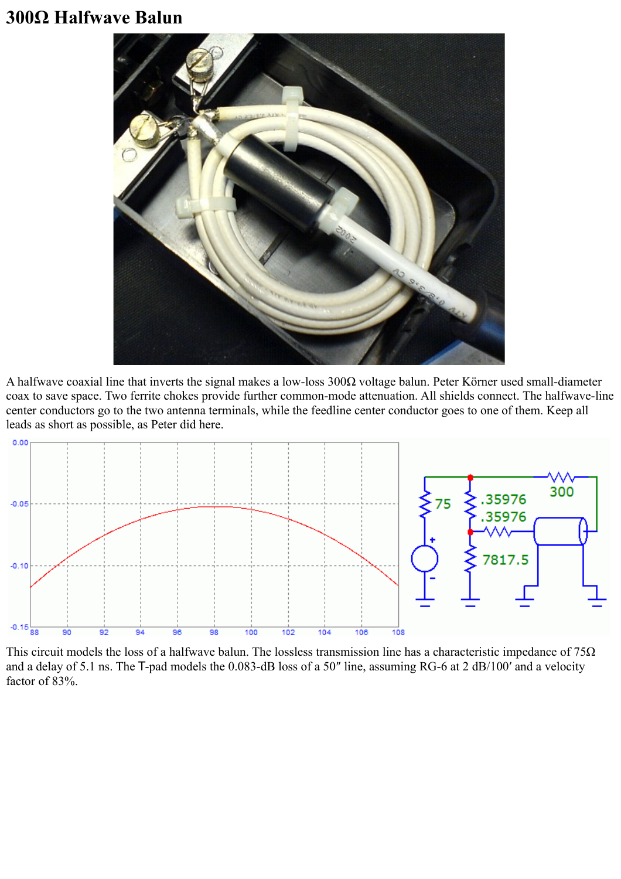### **300Ω Halfwave Balun**



A halfwave coaxial line that inverts the signal makes a low-loss 300Ω voltage balun. Peter Körner used small-diameter coax to save space. Two ferrite chokes provide further common-mode attenuation. All shields connect. The halfwave-line center conductors go to the two antenna terminals, while the feedline center conductor goes to one of them. Keep all leads as short as possible, as Peter did here.



This circuit models the loss of a halfwave balun. The lossless transmission line has a characteristic impedance of  $75\Omega$ and a delay of 5.1 ns. The T-pad models the 0.083-dB loss of a 50″ line, assuming RG-6 at 2 dB/100′ and a velocity factor of 83%.